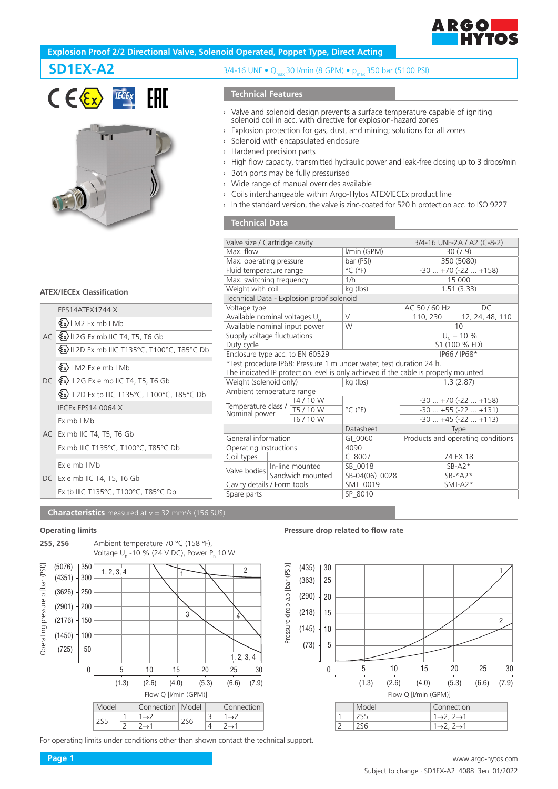

# **Explosion Proof 2/2 Directional Valve, Solenoid Operated, Poppet Type, Direct Acting**





# **ATEX/IECEx Classification**

|  | <b>FPS14ATFX1744 X</b>                                   |  |  |  |
|--|----------------------------------------------------------|--|--|--|
|  | $(x)$   M2 Ex mb   Mb                                    |  |  |  |
|  | AC $\langle x \rangle$ II 2G Ex mb IIC T4, T5, T6 Gb     |  |  |  |
|  | Ex)    2D Ex mb    C T135°C, T100°C, T85°C Db            |  |  |  |
|  | $\langle \xi_x \rangle$   M2 Ex e mb   Mb                |  |  |  |
|  | DC   $\langle x \rangle$    2G Ex e mb   C T4, T5, T6 Gb |  |  |  |
|  | Ex II 2D Ex tb IIIC T135°C, T100°C, T85°C Db             |  |  |  |
|  | <b>IECEX EPS14.0064 X</b>                                |  |  |  |
|  | Fx mb I Mb                                               |  |  |  |
|  | AC   Ex mb IIC T4, T5, T6 Gb                             |  |  |  |
|  | Ex mb IIIC T135°C, T100°C, T85°C Db                      |  |  |  |
|  | $Fx$ e mb $IMb$                                          |  |  |  |
|  | DC   Ex e mb IIC T4, T5, T6 Gb                           |  |  |  |
|  | Ex tb IIIC T135°C, T100°C, T85°C Db                      |  |  |  |
|  |                                                          |  |  |  |

# **SD1EX-A2** 3/4-16 UNF • Q<sub>max</sub> 30 l/min (8 GPM) • p<sub>max</sub> 350 bar (5100 PSI)

# **Technical Features**

- › Valve and solenoid design prevents a surface temperature capable of igniting solenoid coil in acc. with directive for explosion-hazard zones
- › Explosion protection for gas, dust, and mining; solutions for all zones
- › Solenoid with encapsulated enclosure
- › Hardened precision parts
- › High flow capacity, transmitted hydraulic power and leak-free closing up to 3 drops/min
- › Both ports may be fully pressurised
- › Wide range of manual overrides available
- › Coils interchangeable within Argo-Hytos ATEX/IECEx product line
- › In the standard version, the valve is zinc-coated for 520 h protection acc. to ISO 9227

### **Technical Data**

| Valve size / Cartridge cavity        |                  |                                           |                                                                                      | 3/4-16 UNF-2A / A2 (C-8-2)        |                   |
|--------------------------------------|------------------|-------------------------------------------|--------------------------------------------------------------------------------------|-----------------------------------|-------------------|
| Max. flow                            |                  |                                           | I/min (GPM)                                                                          | 30(7.9)                           |                   |
| Max. operating pressure              |                  |                                           | bar (PSI)                                                                            | 350 (5080)                        |                   |
| Fluid temperature range              |                  |                                           | $^{\circ}$ C ( $^{\circ}$ F)                                                         | $-30+70(-22+158)$                 |                   |
| Max. switching frequency             |                  |                                           | 1/h                                                                                  | 15 000                            |                   |
| Weight with coil                     |                  |                                           | kg (lbs)                                                                             | 1.51(3.33)                        |                   |
|                                      |                  | Technical Data - Explosion proof solenoid |                                                                                      |                                   |                   |
| Voltage type                         |                  |                                           |                                                                                      | AC 50 / 60 Hz                     | DC.               |
| Available nominal voltages $U_{N}$   |                  |                                           | $\vee$                                                                               | 110, 230                          | 12, 24, 48, 110   |
| Available nominal input power        |                  |                                           | W                                                                                    | 10                                |                   |
| Supply voltage fluctuations          |                  |                                           |                                                                                      | $U_{N}$ ± 10 %                    |                   |
| Duty cycle                           |                  |                                           |                                                                                      | S1 (100 % ED)                     |                   |
| Enclosure type acc. to EN 60529      |                  |                                           |                                                                                      | IP66 / IP68*                      |                   |
|                                      |                  |                                           | *Test procedure IP68: Pressure 1 m under water, test duration 24 h.                  |                                   |                   |
|                                      |                  |                                           | The indicated IP protection level is only achieved if the cable is properly mounted. |                                   |                   |
| Weight (solenoid only)               |                  |                                           | kg (lbs)                                                                             | 1.3(2.87)                         |                   |
| Ambient temperature range            |                  |                                           |                                                                                      |                                   |                   |
|                                      |                  | T4/10W                                    |                                                                                      | $-30+70(-22+158)$                 |                   |
| Temperature class /<br>Nominal power |                  | T5 / 10 W                                 | $^{\circ}$ C ( $^{\circ}$ F)                                                         | $-30+55(-22+131)$                 |                   |
|                                      |                  | T6 / 10 W                                 |                                                                                      |                                   | $-30+45(-22+113)$ |
|                                      |                  |                                           | Datasheet                                                                            | Type                              |                   |
| General information                  |                  |                                           | GI 0060                                                                              | Products and operating conditions |                   |
| Operating Instructions               |                  |                                           | 4090                                                                                 |                                   |                   |
| Coil types                           |                  |                                           | $C_8007$                                                                             |                                   | 74 EX 18          |
| Valve bodies                         | In-line mounted  |                                           | SB 0018                                                                              | $SB- A2*$                         |                   |
|                                      | Sandwich mounted |                                           | SB-04(06)_0028                                                                       | $SB-*A2*$                         |                   |
| Cavity details / Form tools          |                  |                                           | SMT 0019                                                                             | $SMT-A2*$                         |                   |
| Spare parts                          |                  |                                           | SP 8010                                                                              |                                   |                   |
|                                      |                  |                                           |                                                                                      |                                   |                   |

**Characteristics** measured at v = 32 mm<sup>2</sup>/s (156 SUS)

## **Operating limits**



For operating limits under conditions other than shown contact the technical support.

#### **Pressure drop related to flow rate**

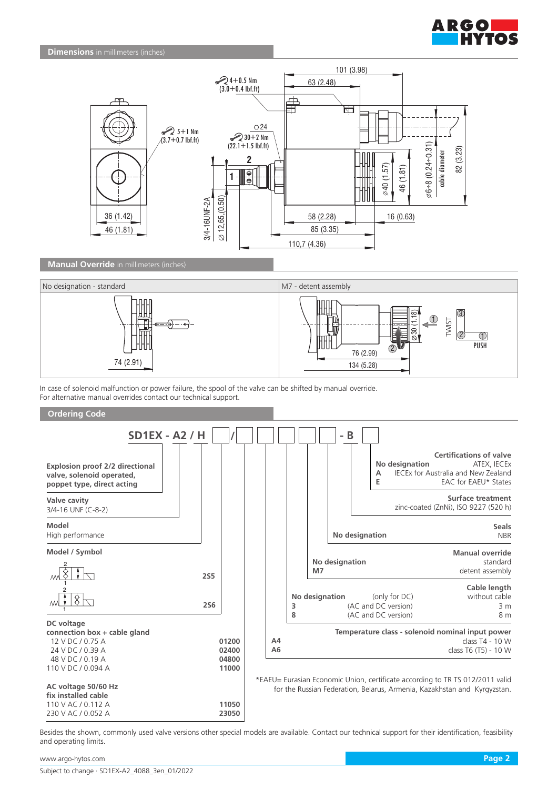



**Manual Override** in millimeters (inches)



In case of solenoid malfunction or power failure, the spool of the valve can be shifted by manual override. For alternative manual overrides contact our technical support.



Besides the shown, commonly used valve versions other special models are available. Contact our technical support for their identification, feasibility and operating limits.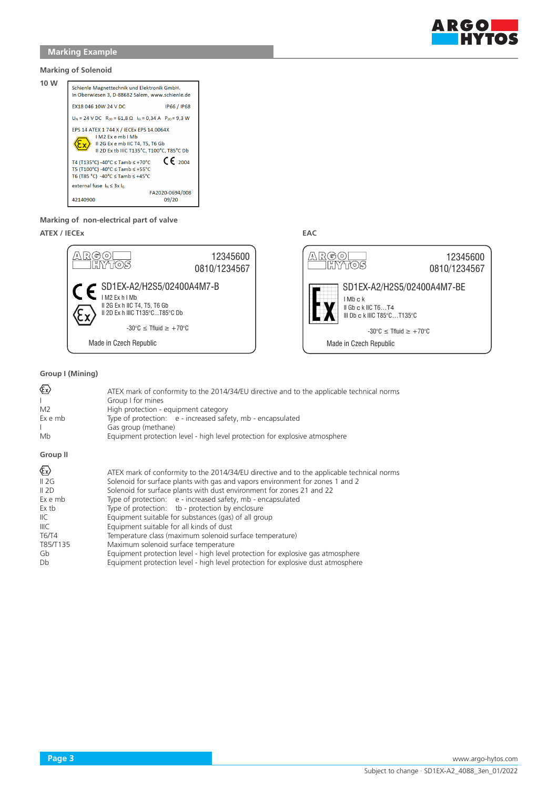

### **Marking of Solenoid**



#### **Marking of non-electrical part of valve**

# **ATEX / IECEx EAC**



### **Group I (Mining)**

| <b>Ex)</b><br>M <sub>2</sub><br>Ex e mb<br>Mb                                            | ATEX mark of conformity to the 2014/34/EU directive and to the applicable technical norms<br>Group I for mines<br>High protection - equipment category<br>Type of protection: e - increased safety, mb - encapsulated<br>Gas group (methane)<br>Equipment protection level - high level protection for explosive atmosphere                                                                                                                                                                                                                                                                                                                                                                                                                           |
|------------------------------------------------------------------------------------------|-------------------------------------------------------------------------------------------------------------------------------------------------------------------------------------------------------------------------------------------------------------------------------------------------------------------------------------------------------------------------------------------------------------------------------------------------------------------------------------------------------------------------------------------------------------------------------------------------------------------------------------------------------------------------------------------------------------------------------------------------------|
| <b>Group II</b>                                                                          |                                                                                                                                                                                                                                                                                                                                                                                                                                                                                                                                                                                                                                                                                                                                                       |
| ☜<br>II 2G<br>II 2D<br>Ex e mb<br>Ex tb<br>IIC.<br>IIIC<br>T6/T4<br>T85/T135<br>Gb<br>Db | ATEX mark of conformity to the 2014/34/EU directive and to the applicable technical norms<br>Solenoid for surface plants with gas and vapors environment for zones 1 and 2<br>Solenoid for surface plants with dust environment for zones 21 and 22<br>Type of protection: e - increased safety, mb - encapsulated<br>Type of protection: tb - protection by enclosure<br>Equipment suitable for substances (gas) of all group<br>Equipment suitable for all kinds of dust<br>Temperature class (maximum solenoid surface temperature)<br>Maximum solenoid surface temperature<br>Equipment protection level - high level protection for explosive gas atmosphere<br>Equipment protection level - high level protection for explosive dust atmosphere |